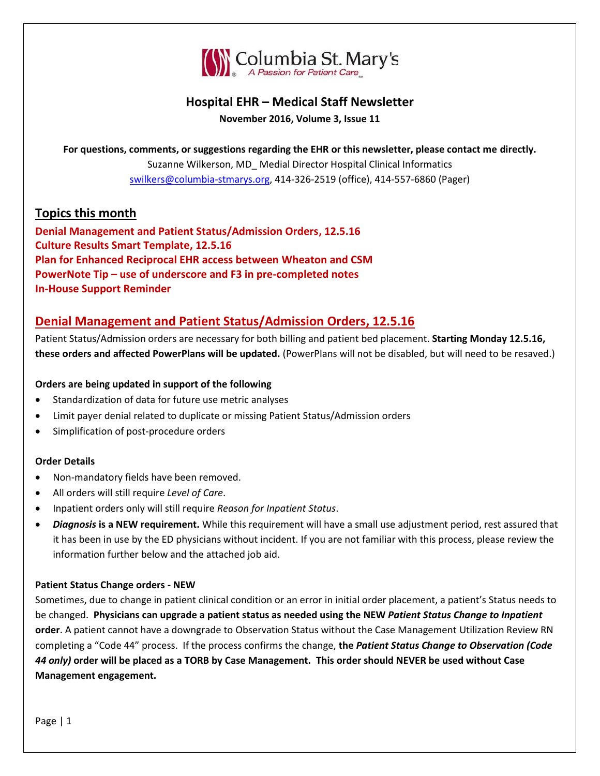

# **Hospital EHR – Medical Staff Newsletter**

**November 2016, Volume 3, Issue 11**

**For questions, comments, or suggestions regarding the EHR or this newsletter, please contact me directly.** Suzanne Wilkerson, MD\_ Medial Director Hospital Clinical Informatics [swilkers@columbia-stmarys.org,](mailto:swilkers@columbia-stmarys.org) 414-326-2519 (office), 414-557-6860 (Pager)

## **Topics this month**

**Denial Management and Patient Status/Admission Orders, 12.5.16 Culture Results Smart Template, 12.5.16 Plan for Enhanced Reciprocal EHR access between Wheaton and CSM PowerNote Tip – use of underscore and F3 in pre-completed notes In-House Support Reminder**

# **Denial Management and Patient Status/Admission Orders, 12.5.16**

Patient Status/Admission orders are necessary for both billing and patient bed placement. **Starting Monday 12.5.16, these orders and affected PowerPlans will be updated.** (PowerPlans will not be disabled, but will need to be resaved.)

#### **Orders are being updated in support of the following**

- Standardization of data for future use metric analyses
- Limit payer denial related to duplicate or missing Patient Status/Admission orders
- Simplification of post-procedure orders

#### **Order Details**

- Non-mandatory fields have been removed.
- All orders will still require *Level of Care*.
- Inpatient orders only will still require *Reason for Inpatient Status*.
- *Diagnosis* **is a NEW requirement.** While this requirement will have a small use adjustment period, rest assured that it has been in use by the ED physicians without incident. If you are not familiar with this process, please review the information further below and the attached job aid.

#### **Patient Status Change orders - NEW**

Sometimes, due to change in patient clinical condition or an error in initial order placement, a patient's Status needs to be changed. **Physicians can upgrade a patient status as needed using the NEW** *Patient Status Change to Inpatient* **order**. A patient cannot have a downgrade to Observation Status without the Case Management Utilization Review RN completing a "Code 44" process. If the process confirms the change, **the** *Patient Status Change to Observation (Code 44 only)* **order will be placed as a TORB by Case Management. This order should NEVER be used without Case Management engagement.**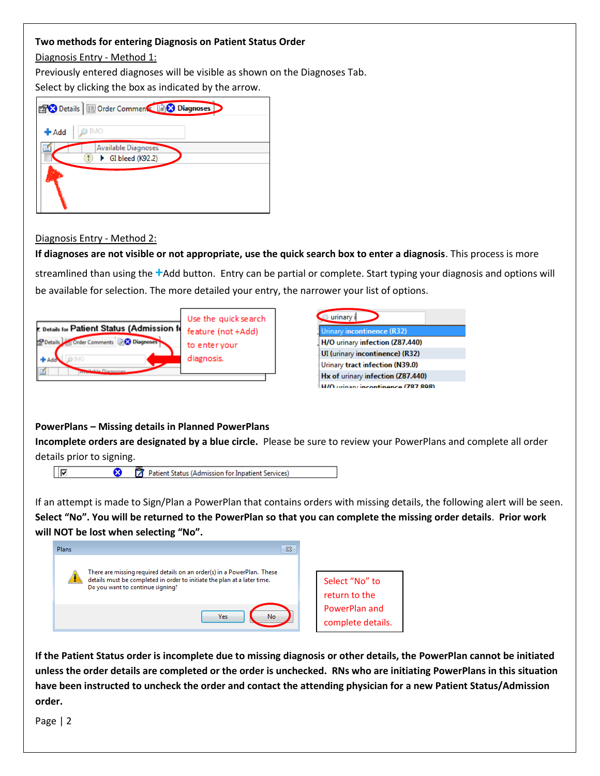#### **Two methods for entering Diagnosis on Patient Status Order**

Diagnosis Entry - Method 1:

Previously entered diagnoses will be visible as shown on the Diagnoses Tab.

Select by clicking the box as indicated by the arrow.

| <b>Diagnoses</b>                               |  |  |  |  |
|------------------------------------------------|--|--|--|--|
| <b>IMO</b><br>+ Add                            |  |  |  |  |
| <b>Available Diagnoses</b><br>GI bleed (K92.2) |  |  |  |  |
|                                                |  |  |  |  |
|                                                |  |  |  |  |

#### Diagnosis Entry - Method 2:

**If diagnoses are not visible or not appropriate, use the quick search box to enter a diagnosis**. This process is more

streamlined than using the **+**Add button. Entry can be partial or complete. Start typing your diagnosis and options will be available for selection. The more detailed your entry, the narrower your list of options.

| E Details for Patient Status (Admission fo | Use the quick search |
|--------------------------------------------|----------------------|
| <b>X</b> Diagnoses                         | feature (not +Add)   |
| PDetails                                   | to enter your        |
| Order Comments                             | diagnosis.           |
|                                            |                      |

| urinary i                         |
|-----------------------------------|
| Urinary incontinence (R32)        |
| H/O urinary infection (Z87.440)   |
| UI (urinary incontinence) (R32)   |
| Urinary tract infection (N39.0)   |
| Hx of urinary infection (Z87.440) |
| winany incontinguog (787-808)     |

#### **PowerPlans – Missing details in Planned PowerPlans**

**Incomplete orders are designated by a blue circle.** Please be sure to review your PowerPlans and complete all order details prior to signing.



If an attempt is made to Sign/Plan a PowerPlan that contains orders with missing details, the following alert will be seen. **Select "No". You will be returned to the PowerPlan so that you can complete the missing order details**. **Prior work will NOT be lost when selecting "No".**



**If the Patient Status order is incomplete due to missing diagnosis or other details, the PowerPlan cannot be initiated unless the order details are completed or the order is unchecked. RNs who are initiating PowerPlans in this situation have been instructed to uncheck the order and contact the attending physician for a new Patient Status/Admission order.**

Page | 2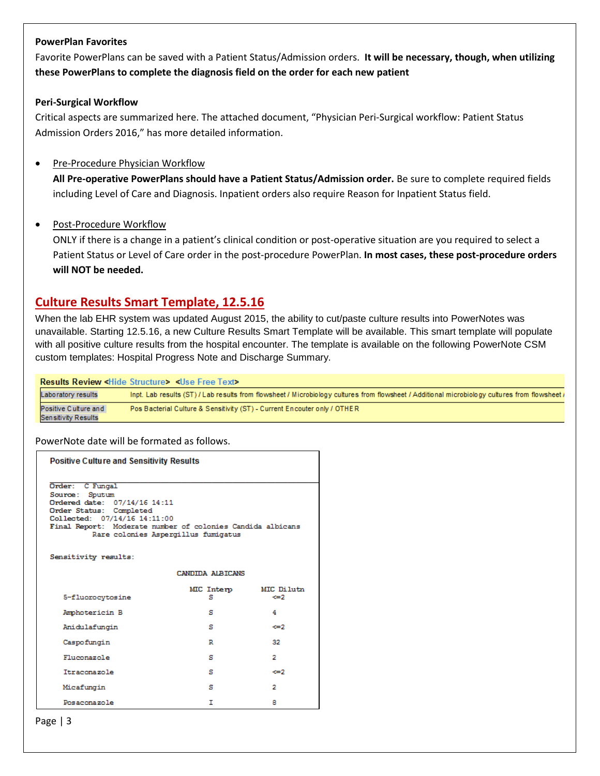#### **PowerPlan Favorites**

Favorite PowerPlans can be saved with a Patient Status/Admission orders. **It will be necessary, though, when utilizing these PowerPlans to complete the diagnosis field on the order for each new patient**

#### **Peri-Surgical Workflow**

Critical aspects are summarized here. The attached document, "Physician Peri-Surgical workflow: Patient Status Admission Orders 2016," has more detailed information.

#### • Pre-Procedure Physician Workflow

**All Pre-operative PowerPlans should have a Patient Status/Admission order.** Be sure to complete required fields including Level of Care and Diagnosis. Inpatient orders also require Reason for Inpatient Status field.

#### Post-Procedure Workflow

ONLY if there is a change in a patient's clinical condition or post-operative situation are you required to select a Patient Status or Level of Care order in the post-procedure PowerPlan. **In most cases, these post-procedure orders will NOT be needed.**

## **Culture Results Smart Template, 12.5.16**

When the lab EHR system was updated August 2015, the ability to cut/paste culture results into PowerNotes was unavailable. Starting 12.5.16, a new Culture Results Smart Template will be available. This smart template will populate with all positive culture results from the hospital encounter. The template is available on the following PowerNote CSM custom templates: Hospital Progress Note and Discharge Summary.

|                                                    | <b>Results Review <hide structure=""> <use free="" text=""></use></hide></b>                                                                   |
|----------------------------------------------------|------------------------------------------------------------------------------------------------------------------------------------------------|
| Laboratory results                                 | Inpt. Lab results (ST) / Lab results from flowsheet / Microbiology cultures from flowsheet / Additional microbiology cultures from flowsheet / |
| Positive Culture and<br><b>Sensitivity Results</b> | Pos Bacterial Culture & Sensitivity (ST) - Current Encouter only / OTHER                                                                       |

#### PowerNote date will be formated as follows.

| <b>Positive Culture and Sensitivity Results</b>                                                                                                                                                                                   |                 |                   |  |  |  |
|-----------------------------------------------------------------------------------------------------------------------------------------------------------------------------------------------------------------------------------|-----------------|-------------------|--|--|--|
| Order: C Fungal<br>Source: Sputum<br>Ordered date: 07/14/16 14:11<br>Order Status: Completed<br>Collected: 07/14/16 14:11:00<br>Final Report: Moderate number of colonies Candida albicans<br>Rare colonies Aspergillus fumigatus |                 |                   |  |  |  |
| Sensitivity results:                                                                                                                                                                                                              |                 |                   |  |  |  |
| CANDIDA ALBICANS                                                                                                                                                                                                                  |                 |                   |  |  |  |
| 5-fluorocytosine                                                                                                                                                                                                                  | MIC Interp<br>s | MIC Dilutn<br><=2 |  |  |  |
| Amphotericin B                                                                                                                                                                                                                    | я               | 4                 |  |  |  |
| Anidulafungin                                                                                                                                                                                                                     | s               | $\Leftarrow$      |  |  |  |
| Caspofungin                                                                                                                                                                                                                       | R               | 32                |  |  |  |
| Fluconazole                                                                                                                                                                                                                       | s               | 2                 |  |  |  |
| Itraconazole                                                                                                                                                                                                                      | s               | <=2               |  |  |  |
| Micafungin                                                                                                                                                                                                                        | s               | 2                 |  |  |  |
| Posaconazole                                                                                                                                                                                                                      | т               | 8                 |  |  |  |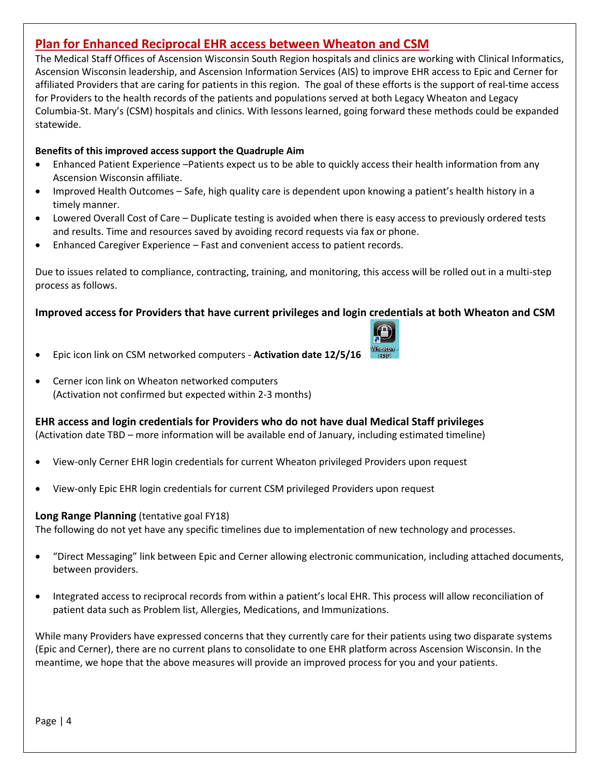# **Plan for Enhanced Reciprocal EHR access between Wheaton and CSM**

The Medical Staff Offices of Ascension Wisconsin South Region hospitals and clinics are working with Clinical Informatics, Ascension Wisconsin leadership, and Ascension Information Services (AIS) to improve EHR access to Epic and Cerner for affiliated Providers that are caring for patients in this region. The goal of these efforts is the support of real-time access for Providers to the health records of the patients and populations served at both Legacy Wheaton and Legacy Columbia-St. Mary's (CSM) hospitals and clinics. With lessons learned, going forward these methods could be expanded statewide.

#### **Benefits of this improved access support the Quadruple Aim**

- Enhanced Patient Experience –Patients expect us to be able to quickly access their health information from any Ascension Wisconsin affiliate.
- Improved Health Outcomes Safe, high quality care is dependent upon knowing a patient's health history in a timely manner.
- Lowered Overall Cost of Care Duplicate testing is avoided when there is easy access to previously ordered tests and results. Time and resources saved by avoiding record requests via fax or phone.
- Enhanced Caregiver Experience Fast and convenient access to patient records.

Due to issues related to compliance, contracting, training, and monitoring, this access will be rolled out in a multi-step process as follows.

#### **Improved access for Providers that have current privileges and login credentials at both Wheaton and CSM**



- Epic icon link on CSM networked computers **Activation date 12/5/16**
- Cerner icon link on Wheaton networked computers (Activation not confirmed but expected within 2-3 months)

#### **EHR access and login credentials for Providers who do not have dual Medical Staff privileges**

(Activation date TBD – more information will be available end of January, including estimated timeline)

- View-only Cerner EHR login credentials for current Wheaton privileged Providers upon request
- View-only Epic EHR login credentials for current CSM privileged Providers upon request

#### **Long Range Planning** (tentative goal FY18)

The following do not yet have any specific timelines due to implementation of new technology and processes.

- "Direct Messaging" link between Epic and Cerner allowing electronic communication, including attached documents, between providers.
- Integrated access to reciprocal records from within a patient's local EHR. This process will allow reconciliation of patient data such as Problem list, Allergies, Medications, and Immunizations.

While many Providers have expressed concerns that they currently care for their patients using two disparate systems (Epic and Cerner), there are no current plans to consolidate to one EHR platform across Ascension Wisconsin. In the meantime, we hope that the above measures will provide an improved process for you and your patients.